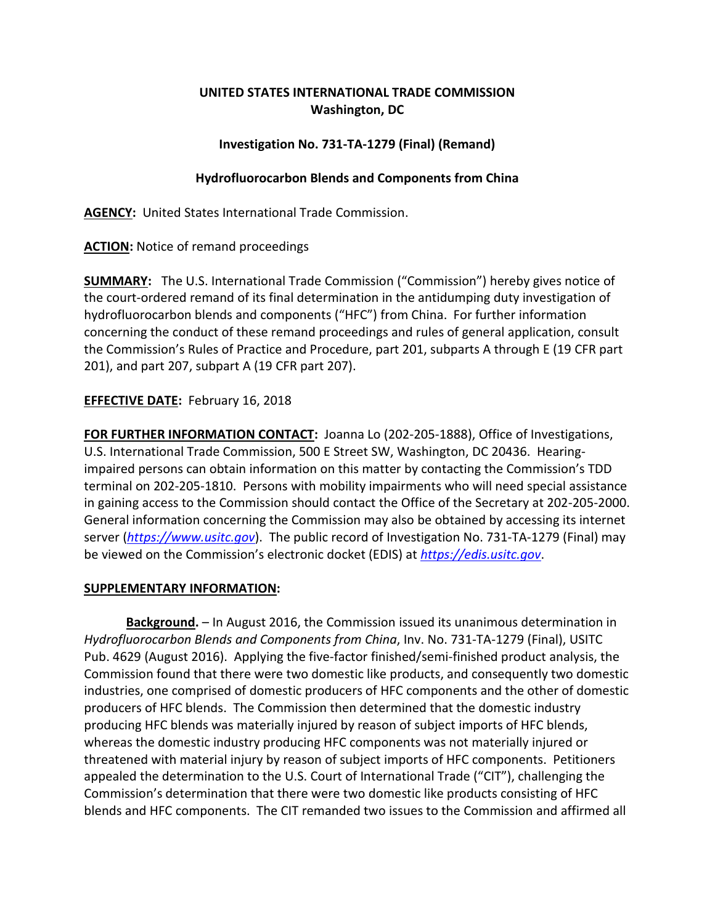# **UNITED STATES INTERNATIONAL TRADE COMMISSION Washington, DC**

### **Investigation No. 731-TA-1279 (Final) (Remand)**

#### **Hydrofluorocarbon Blends and Components from China**

**AGENCY:** United States International Trade Commission.

**ACTION:** Notice of remand proceedings

**SUMMARY:** The U.S. International Trade Commission ("Commission") hereby gives notice of the court-ordered remand of its final determination in the antidumping duty investigation of hydrofluorocarbon blends and components ("HFC") from China. For further information concerning the conduct of these remand proceedings and rules of general application, consult the Commission's Rules of Practice and Procedure, part 201, subparts A through E (19 CFR part 201), and part 207, subpart A (19 CFR part 207).

## **EFFECTIVE DATE:** February 16, 2018

**FOR FURTHER INFORMATION CONTACT:** Joanna Lo (202-205-1888), Office of Investigations, U.S. International Trade Commission, 500 E Street SW, Washington, DC 20436. Hearingimpaired persons can obtain information on this matter by contacting the Commission's TDD terminal on 202-205-1810. Persons with mobility impairments who will need special assistance in gaining access to the Commission should contact the Office of the Secretary at 202-205-2000. General information concerning the Commission may also be obtained by accessing its internet server (*[https://www.usitc.gov](https://www.usitc.gov/)*). The public record of Investigation No. 731-TA-1279 (Final) may be viewed on the Commission's electronic docket (EDIS) at *[https://edis.usitc.gov](https://edis.usitc.gov/)*.

#### **SUPPLEMENTARY INFORMATION:**

**Background.** – In August 2016, the Commission issued its unanimous determination in *Hydrofluorocarbon Blends and Components from China*, Inv. No. 731-TA-1279 (Final), USITC Pub. 4629 (August 2016). Applying the five-factor finished/semi-finished product analysis, the Commission found that there were two domestic like products, and consequently two domestic industries, one comprised of domestic producers of HFC components and the other of domestic producers of HFC blends. The Commission then determined that the domestic industry producing HFC blends was materially injured by reason of subject imports of HFC blends, whereas the domestic industry producing HFC components was not materially injured or threatened with material injury by reason of subject imports of HFC components. Petitioners appealed the determination to the U.S. Court of International Trade ("CIT"), challenging the Commission's determination that there were two domestic like products consisting of HFC blends and HFC components. The CIT remanded two issues to the Commission and affirmed all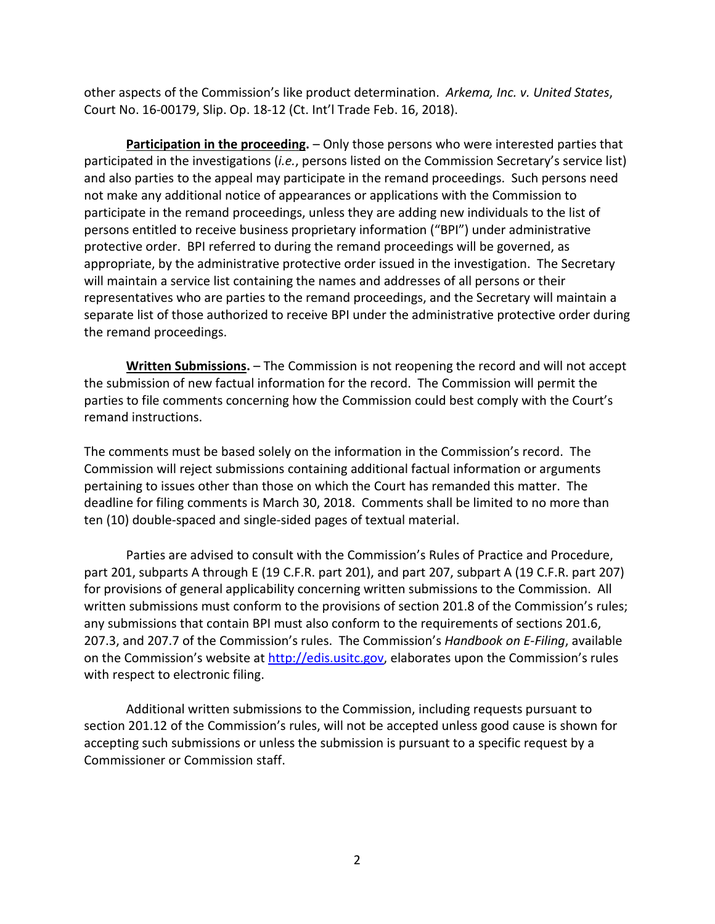other aspects of the Commission's like product determination. *Arkema, Inc. v. United States*, Court No. 16-00179, Slip. Op. 18-12 (Ct. Int'l Trade Feb. 16, 2018).

**Participation in the proceeding.** – Only those persons who were interested parties that participated in the investigations (*i.e.*, persons listed on the Commission Secretary's service list) and also parties to the appeal may participate in the remand proceedings. Such persons need not make any additional notice of appearances or applications with the Commission to participate in the remand proceedings, unless they are adding new individuals to the list of persons entitled to receive business proprietary information ("BPI") under administrative protective order. BPI referred to during the remand proceedings will be governed, as appropriate, by the administrative protective order issued in the investigation. The Secretary will maintain a service list containing the names and addresses of all persons or their representatives who are parties to the remand proceedings, and the Secretary will maintain a separate list of those authorized to receive BPI under the administrative protective order during the remand proceedings.

**Written Submissions.** – The Commission is not reopening the record and will not accept the submission of new factual information for the record. The Commission will permit the parties to file comments concerning how the Commission could best comply with the Court's remand instructions.

The comments must be based solely on the information in the Commission's record. The Commission will reject submissions containing additional factual information or arguments pertaining to issues other than those on which the Court has remanded this matter. The deadline for filing comments is March 30, 2018. Comments shall be limited to no more than ten (10) double-spaced and single-sided pages of textual material.

Parties are advised to consult with the Commission's Rules of Practice and Procedure, part 201, subparts A through E (19 C.F.R. part 201), and part 207, subpart A (19 C.F.R. part 207) for provisions of general applicability concerning written submissions to the Commission. All written submissions must conform to the provisions of section 201.8 of the Commission's rules; any submissions that contain BPI must also conform to the requirements of sections 201.6, 207.3, and 207.7 of the Commission's rules. The Commission's *Handbook on E-Filing*, available on the Commission's website at [http://edis.usitc.gov,](http://edis.usitc.gov/) elaborates upon the Commission's rules with respect to electronic filing.

Additional written submissions to the Commission, including requests pursuant to section 201.12 of the Commission's rules, will not be accepted unless good cause is shown for accepting such submissions or unless the submission is pursuant to a specific request by a Commissioner or Commission staff.